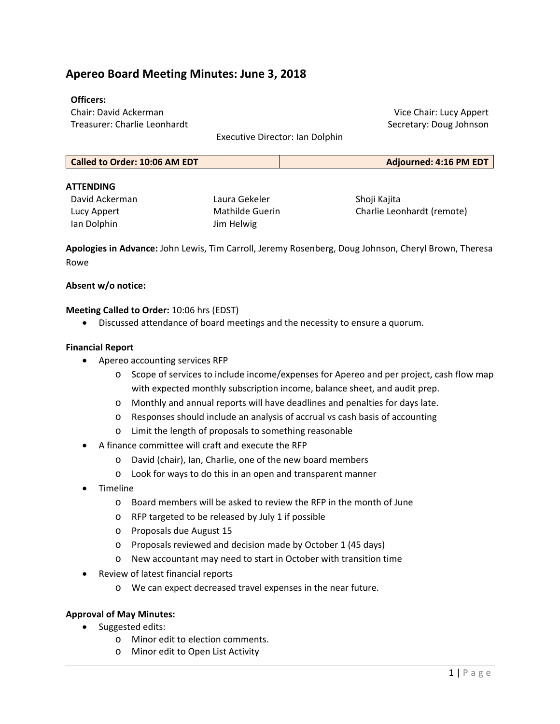# **Apereo Board Meeting Minutes: June 3, 2018**

#### **Officers:**

Chair: David Ackerman Treasurer: Charlie Leonhardt

Executive Director: Ian Dolphin

Vice Chair: Lucy Appert Secretary: Doug Johnson

| Adjourned: 4:16 PM EDT |
|------------------------|
|                        |

#### **ATTENDING**

David Ackerman Lucy Appert Ian Dolphin

Laura Gekeler Mathilde Guerin Jim Helwig

Shoji Kajita Charlie Leonhardt (remote)

**Apologies in Advance:** John Lewis, Tim Carroll, Jeremy Rosenberg, Doug Johnson, Cheryl Brown, Theresa Rowe

#### **Absent w/o notice:**

#### **Meeting Called to Order:** 10:06 hrs (EDST)

Discussed attendance of board meetings and the necessity to ensure a quorum.

#### **Financial Report**

- Apereo accounting services RFP
	- o Scope of services to include income/expenses for Apereo and per project, cash flow map with expected monthly subscription income, balance sheet, and audit prep.
	- o Monthly and annual reports will have deadlines and penalties for days late.
	- o Responses should include an analysis of accrual vs cash basis of accounting
	- o Limit the length of proposals to something reasonable
- A finance committee will craft and execute the RFP
	- o David (chair), Ian, Charlie, one of the new board members
	- o Look for ways to do this in an open and transparent manner
- Timeline
	- o Board members will be asked to review the RFP in the month of June
	- o RFP targeted to be released by July 1 if possible
	- o Proposals due August 15
	- o Proposals reviewed and decision made by October 1 (45 days)
	- o New accountant may need to start in October with transition time
- Review of latest financial reports
	- o We can expect decreased travel expenses in the near future.

#### **Approval of May Minutes:**

- Suggested edits:
	- o Minor edit to election comments.
	- o Minor edit to Open List Activity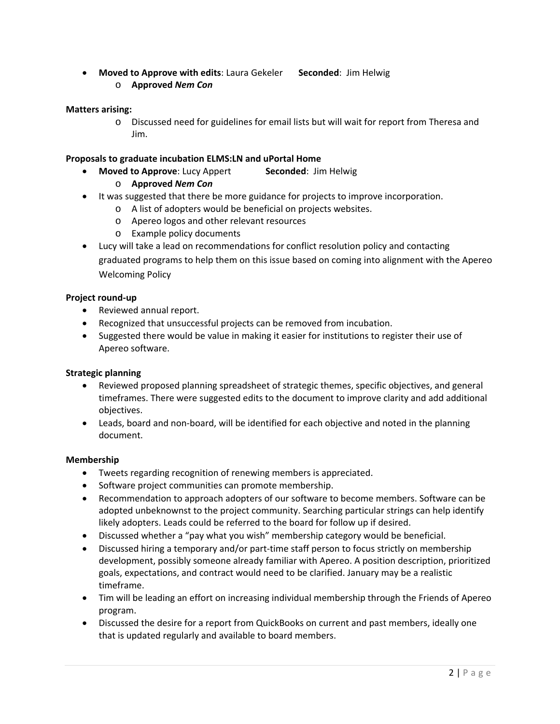- **Moved to Approve with edits**: Laura Gekeler  **Seconded**: Jim Helwig
	- o **Approved** *Nem Con*

# **Matters arising:**

o Discussed need for guidelines for email lists but will wait for report from Theresa and Jim.

## **Proposals to graduate incubation ELMS:LN and uPortal Home**

- **Moved to Approve**: Lucy Appert  **Seconded**: Jim Helwig
	- o **Approved** *Nem Con*
- It was suggested that there be more guidance for projects to improve incorporation.
	- o A list of adopters would be beneficial on projects websites.
	- o Apereo logos and other relevant resources
	- o Example policy documents
- Lucy will take a lead on recommendations for conflict resolution policy and contacting graduated programs to help them on this issue based on coming into alignment with the Apereo Welcoming Policy

### **Project round‐up**

- Reviewed annual report.
- Recognized that unsuccessful projects can be removed from incubation.
- Suggested there would be value in making it easier for institutions to register their use of Apereo software.

### **Strategic planning**

- Reviewed proposed planning spreadsheet of strategic themes, specific objectives, and general timeframes. There were suggested edits to the document to improve clarity and add additional objectives.
- Leads, board and non-board, will be identified for each objective and noted in the planning document.

### **Membership**

- Tweets regarding recognition of renewing members is appreciated.
- Software project communities can promote membership.
- Recommendation to approach adopters of our software to become members. Software can be adopted unbeknownst to the project community. Searching particular strings can help identify likely adopters. Leads could be referred to the board for follow up if desired.
- Discussed whether a "pay what you wish" membership category would be beneficial.
- Discussed hiring a temporary and/or part-time staff person to focus strictly on membership development, possibly someone already familiar with Apereo. A position description, prioritized goals, expectations, and contract would need to be clarified. January may be a realistic timeframe.
- Tim will be leading an effort on increasing individual membership through the Friends of Apereo program.
- Discussed the desire for a report from QuickBooks on current and past members, ideally one that is updated regularly and available to board members.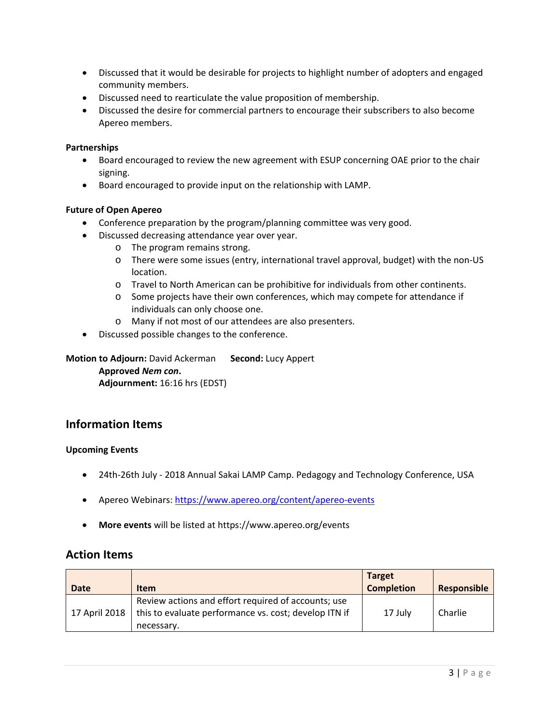- Discussed that it would be desirable for projects to highlight number of adopters and engaged community members.
- Discussed need to rearticulate the value proposition of membership.
- Discussed the desire for commercial partners to encourage their subscribers to also become Apereo members.

### **Partnerships**

- Board encouraged to review the new agreement with ESUP concerning OAE prior to the chair signing.
- Board encouraged to provide input on the relationship with LAMP.

### **Future of Open Apereo**

- Conference preparation by the program/planning committee was very good.
- Discussed decreasing attendance year over year.
	- o The program remains strong.
	- o There were some issues (entry, international travel approval, budget) with the non‐US location.
	- o Travel to North American can be prohibitive for individuals from other continents.
	- o Some projects have their own conferences, which may compete for attendance if individuals can only choose one.
	- o Many if not most of our attendees are also presenters.
- Discussed possible changes to the conference.

**Motion to Adjourn:** David Ackerman **Second:** Lucy Appert **Approved** *Nem con***. Adjournment:** 16:16 hrs (EDST)

# **Information Items**

#### **Upcoming Events**

- 24th-26th July 2018 Annual Sakai LAMP Camp. Pedagogy and Technology Conference, USA
- Apereo Webinars: https://www.apereo.org/content/apereo-events
- **More events** will be listed at https://www.apereo.org/events

# **Action Items**

| <b>Date</b>   | <b>Item</b>                                           | <b>Target</b><br><b>Completion</b> | Responsible |
|---------------|-------------------------------------------------------|------------------------------------|-------------|
|               | Review actions and effort required of accounts; use   |                                    |             |
| 17 April 2018 | this to evaluate performance vs. cost; develop ITN if | 17 July                            | Charlie     |
|               | necessary.                                            |                                    |             |